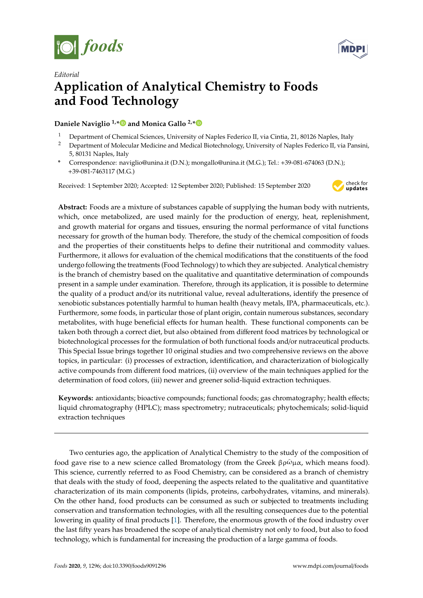



## *Editorial* **Application of Analytical Chemistry to Foods and Food Technology A**<br>**Application of Analytical Chemistry to Foods and <sup>F</sup>oods and <sup>F</sup>oods and <sup>Food</sup>s and <sup>Food</sup>s and <sup>Food</sup>s and <sup>Food</sup>s and <sup>Food</sup>s and <sup>Food</sup>s and <sup>Food</sup>s and <sup>Food</sup>s and <sup>Food</sup>s and Foods and Foods and Foods and Foods Food Technology**

**Daniele Naviglio<sup>1,\*</sup>
• and Monica Gallo<sup>2,\*</sup>
•**  $\blacksquare$ 

- <sup>1</sup> Department of Chemical Sciences, University of Naples Federico II, via Cintia, 21, 80126 Naples, Italy
- <sup>2</sup> Department of Molecular Medicine and Medical Biotechnology, University of Naples Federico II, via Pansini, **5, 80131 Naples, Italy**
- **\*** Correspondence: naviglio@unina.it (D.N.); mongallo@unina.it (M.G.); Tel.: +39-081-674063 (D.N.); +39-081-7463117 (M.G.)

Received: 1 September 2020; Accepted: 12 September 2020; Published: 15 September 2020



Abstract: Foods are a mixture of substances capable of supplying the human body with nutrients, which, once metabolized, are used mainly for the production of energy, heat, replenishment, and growth material for organs and tissues, ensuring the normal performance of vital functions necessary for growth of the human body. Therefore, the study of the chemical composition of foods and the properties of their constituents helps to define their nutritional and commodity values. Furthermore, it allows for evaluation of the chemical modifications that the constituents of the food undergo following the treatments (Food Technology) to which they are subjected. Analytical chemistry is the branch of chemistry based on the qualitative and quantitative determination of compounds present in a sample under examination. Therefore, through its application, it is possible to determine the quality of a product and/or its nutritional value, reveal adulterations, identify the presence of xenobiotic substances potentially harmful to human health (heavy metals, IPA, pharmaceuticals, etc.). Furthermore, some foods, in particular those of plant origin, contain numerous substances, secondary metabolites, with huge beneficial effects for human health. These functional components can be taken both through a correct diet, but also obtained from different food matrices by technological or biotechnological processes for the formulation of both functional foods and/or nutraceutical products. This Special Issue brings together 10 original studies and two comprehensive reviews on the above topics, in particular: (i) processes of extraction, identification, and characterization of biologically active compounds from different food matrices, (ii) overview of the main techniques applied for the determination of food colors, (iii) newer and greener solid-liquid extraction techniques.

**Keywords:** antioxidants; bioactive compounds; functional foods; gas chromatography; health effects; **Keywords:** antioxidants; bioactive compounds; functional foods; gas chromatography; health liquid chromatography (HPLC); mass spectrometry; nutraceuticals; phytochemicals; solid-liquid extraction techniques

Two centuries ago, the application of Analytical Chemistry to the study of the composition of Two centuries ago, the application of Analytical Chemistry to the study of the composition of food gave rise to a new science called Bromatology (from the Greek βρ $\tilde{\omega}$ μα, which means food). This science, currently referred to as Food Chemistry, can be considered as a branch of chemistry that deals with the study of food, deepening the aspects related to the qualitative and quantitative characterization of its main components (lipids, proteins, carbohydrates, vitamins, and minerals). the other hand, food products can be consumed as such or subjected to treatments including On the other hand, food products can be consumed as such or subjected to treatments including conservation and transformation technologies, with all the resulting consequences due to the conservation and transformation technologies, with all the resulting consequences due to the potential lowering in quality of fi[nal](#page-3-0) products [1]. Therefore, the enormous growth of the food industry over the last fifty years has broadened the scope of analytical chemistry not only to food, but also to food technology, which is fundamental for increasing the production of a large gamma of foods.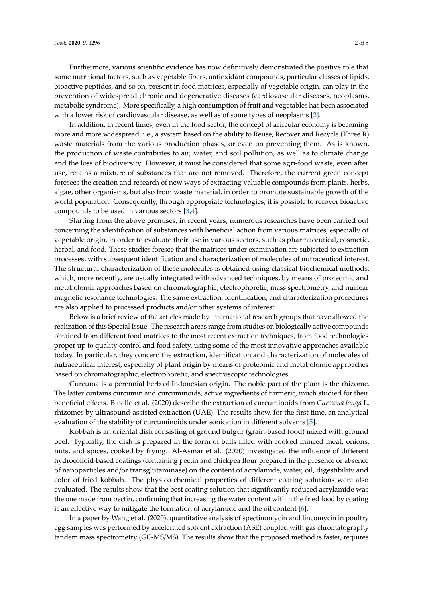Furthermore, various scientific evidence has now definitively demonstrated the positive role that some nutritional factors, such as vegetable fibers, antioxidant compounds, particular classes of lipids, bioactive peptides, and so on, present in food matrices, especially of vegetable origin, can play in the prevention of widespread chronic and degenerative diseases (cardiovascular diseases, neoplasms, metabolic syndrome). More specifically, a high consumption of fruit and vegetables has been associated with a lower risk of cardiovascular disease, as well as of some types of neoplasms [\[2\]](#page-3-1).

In addition, in recent times, even in the food sector, the concept of acircular economy is becoming more and more widespread, i.e., a system based on the ability to Reuse, Recover and Recycle (Three R) waste materials from the various production phases, or even on preventing them. As is known, the production of waste contributes to air, water, and soil pollution, as well as to climate change and the loss of biodiversity. However, it must be considered that some agri-food waste, even after use, retains a mixture of substances that are not removed. Therefore, the current green concept foresees the creation and research of new ways of extracting valuable compounds from plants, herbs, algae, other organisms, but also from waste material, in order to promote sustainable growth of the world population. Consequently, through appropriate technologies, it is possible to recover bioactive compounds to be used in various sectors [\[3,](#page-3-2)[4\]](#page-3-3).

Starting from the above premises, in recent years, numerous researches have been carried out concerning the identification of substances with beneficial action from various matrices, especially of vegetable origin, in order to evaluate their use in various sectors, such as pharmaceutical, cosmetic, herbal, and food. These studies foresee that the matrices under examination are subjected to extraction processes, with subsequent identification and characterization of molecules of nutraceutical interest. The structural characterization of these molecules is obtained using classical biochemical methods, which, more recently, are usually integrated with advanced techniques, by means of proteomic and metabolomic approaches based on chromatographic, electrophoretic, mass spectrometry, and nuclear magnetic resonance technologies. The same extraction, identification, and characterization procedures are also applied to processed products and/or other systems of interest.

Below is a brief review of the articles made by international research groups that have allowed the realization of this Special Issue. The research areas range from studies on biologically active compounds obtained from different food matrices to the most recent extraction techniques, from food technologies proper up to quality control and food safety, using some of the most innovative approaches available today. In particular, they concern the extraction, identification and characterization of molecules of nutraceutical interest, especially of plant origin by means of proteomic and metabolomic approaches based on chromatographic, electrophoretic, and spectroscopic technologies.

Curcuma is a perennial herb of Indonesian origin. The noble part of the plant is the rhizome. The latter contains curcumin and curcuminoids, active ingredients of turmeric, much studied for their beneficial effects. Binello et al. (2020) describe the extraction of curcuminoids from *Curcuma longa* L. rhizomes by ultrasound-assisted extraction (UAE). The results show, for the first time, an analytical evaluation of the stability of curcuminoids under sonication in different solvents [\[5\]](#page-3-4).

Kobbah is an oriental dish consisting of ground bulgur (grain-based food) mixed with ground beef. Typically, the dish is prepared in the form of balls filled with cooked minced meat, onions, nuts, and spices, cooked by frying. Al-Asmar et al. (2020) investigated the influence of different hydrocolloid-based coatings (containing pectin and chickpea flour prepared in the presence or absence of nanoparticles and/or transglutaminase) on the content of acrylamide, water, oil, digestibility and color of fried kobbah. The physico-chemical properties of different coating solutions were also evaluated. The results show that the best coating solution that significantly reduced acrylamide was the one made from pectin, confirming that increasing the water content within the fried food by coating is an effective way to mitigate the formation of acrylamide and the oil content [\[6\]](#page-3-5).

In a paper by Wang et al. (2020), quantitative analysis of spectinomycin and lincomycin in poultry egg samples was performed by accelerated solvent extraction (ASE) coupled with gas chromatography tandem mass spectrometry (GC-MS/MS). The results show that the proposed method is faster, requires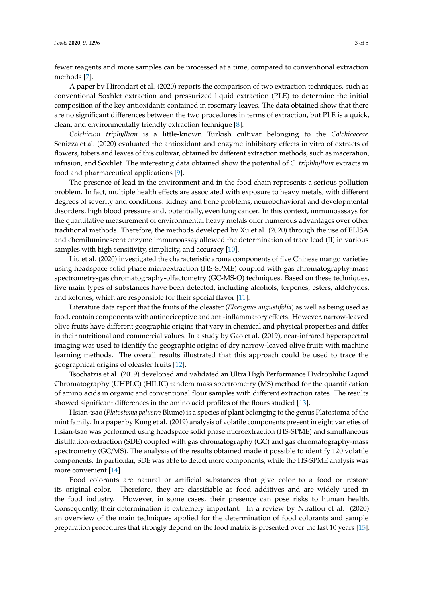fewer reagents and more samples can be processed at a time, compared to conventional extraction methods [\[7\]](#page-3-6).

A paper by Hirondart et al. (2020) reports the comparison of two extraction techniques, such as conventional Soxhlet extraction and pressurized liquid extraction (PLE) to determine the initial composition of the key antioxidants contained in rosemary leaves. The data obtained show that there are no significant differences between the two procedures in terms of extraction, but PLE is a quick, clean, and environmentally friendly extraction technique [\[8\]](#page-3-7).

*Colchicum triphyllum* is a little-known Turkish cultivar belonging to the *Colchicaceae*. Senizza et al. (2020) evaluated the antioxidant and enzyme inhibitory effects in vitro of extracts of flowers, tubers and leaves of this cultivar, obtained by different extraction methods, such as maceration, infusion, and Soxhlet. The interesting data obtained show the potential of *C. triphhyllum* extracts in food and pharmaceutical applications [\[9\]](#page-4-0).

The presence of lead in the environment and in the food chain represents a serious pollution problem. In fact, multiple health effects are associated with exposure to heavy metals, with different degrees of severity and conditions: kidney and bone problems, neurobehavioral and developmental disorders, high blood pressure and, potentially, even lung cancer. In this context, immunoassays for the quantitative measurement of environmental heavy metals offer numerous advantages over other traditional methods. Therefore, the methods developed by Xu et al. (2020) through the use of ELISA and chemiluminescent enzyme immunoassay allowed the determination of trace lead (II) in various samples with high sensitivity, simplicity, and accuracy [\[10\]](#page-4-1).

Liu et al. (2020) investigated the characteristic aroma components of five Chinese mango varieties using headspace solid phase microextraction (HS-SPME) coupled with gas chromatography-mass spectrometry-gas chromatography-olfactometry (GC-MS-O) techniques. Based on these techniques, five main types of substances have been detected, including alcohols, terpenes, esters, aldehydes, and ketones, which are responsible for their special flavor [\[11\]](#page-4-2).

Literature data report that the fruits of the oleaster (*Elaeagnus angustifolia*) as well as being used as food, contain components with antinociceptive and anti-inflammatory effects. However, narrow-leaved olive fruits have different geographic origins that vary in chemical and physical properties and differ in their nutritional and commercial values. In a study by Gao et al. (2019), near-infrared hyperspectral imaging was used to identify the geographic origins of dry narrow-leaved olive fruits with machine learning methods. The overall results illustrated that this approach could be used to trace the geographical origins of oleaster fruits [\[12\]](#page-4-3).

Tsochatzis et al. (2019) developed and validated an Ultra High Performance Hydrophilic Liquid Chromatography (UHPLC) (HILIC) tandem mass spectrometry (MS) method for the quantification of amino acids in organic and conventional flour samples with different extraction rates. The results showed significant differences in the amino acid profiles of the flours studied [\[13\]](#page-4-4).

Hsian-tsao (*Platostoma palustre* Blume) is a species of plant belonging to the genus Platostoma of the mint family. In a paper by Kung et al. (2019) analysis of volatile components present in eight varieties of Hsian-tsao was performed using headspace solid phase microextraction (HS-SPME) and simultaneous distillation-extraction (SDE) coupled with gas chromatography (GC) and gas chromatography-mass spectrometry (GC/MS). The analysis of the results obtained made it possible to identify 120 volatile components. In particular, SDE was able to detect more components, while the HS-SPME analysis was more convenient [\[14\]](#page-4-5).

Food colorants are natural or artificial substances that give color to a food or restore its original color. Therefore, they are classifiable as food additives and are widely used in the food industry. However, in some cases, their presence can pose risks to human health. Consequently, their determination is extremely important. In a review by Ntrallou et al. (2020) an overview of the main techniques applied for the determination of food colorants and sample preparation procedures that strongly depend on the food matrix is presented over the last 10 years [\[15\]](#page-4-6).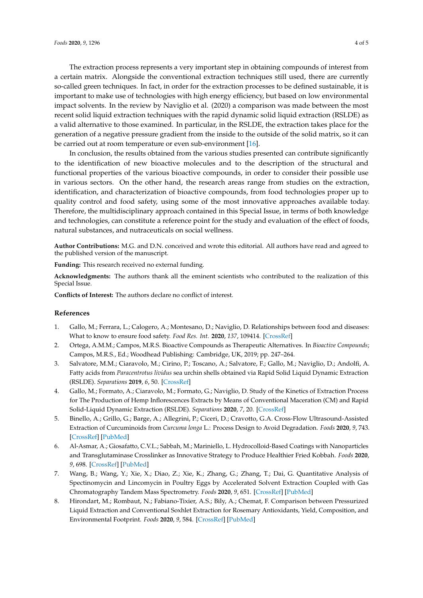The extraction process represents a very important step in obtaining compounds of interest from a certain matrix. Alongside the conventional extraction techniques still used, there are currently so-called green techniques. In fact, in order for the extraction processes to be defined sustainable, it is important to make use of technologies with high energy efficiency, but based on low environmental impact solvents. In the review by Naviglio et al. (2020) a comparison was made between the most recent solid liquid extraction techniques with the rapid dynamic solid liquid extraction (RSLDE) as a valid alternative to those examined. In particular, in the RSLDE, the extraction takes place for the generation of a negative pressure gradient from the inside to the outside of the solid matrix, so it can be carried out at room temperature or even sub-environment [\[16\]](#page-4-7).

In conclusion, the results obtained from the various studies presented can contribute significantly to the identification of new bioactive molecules and to the description of the structural and functional properties of the various bioactive compounds, in order to consider their possible use in various sectors. On the other hand, the research areas range from studies on the extraction, identification, and characterization of bioactive compounds, from food technologies proper up to quality control and food safety, using some of the most innovative approaches available today. Therefore, the multidisciplinary approach contained in this Special Issue, in terms of both knowledge and technologies, can constitute a reference point for the study and evaluation of the effect of foods, natural substances, and nutraceuticals on social wellness.

**Author Contributions:** M.G. and D.N. conceived and wrote this editorial. All authors have read and agreed to the published version of the manuscript.

**Funding:** This research received no external funding.

**Acknowledgments:** The authors thank all the eminent scientists who contributed to the realization of this Special Issue.

**Conflicts of Interest:** The authors declare no conflict of interest.

## **References**

- <span id="page-3-0"></span>1. Gallo, M.; Ferrara, L.; Calogero, A.; Montesano, D.; Naviglio, D. Relationships between food and diseases: What to know to ensure food safety. *Food Res. Int.* **2020**, *137*, 109414. [\[CrossRef\]](http://dx.doi.org/10.1016/j.foodres.2020.109414)
- <span id="page-3-1"></span>2. Ortega, A.M.M.; Campos, M.R.S. Bioactive Compounds as Therapeutic Alternatives. In *Bioactive Compounds*; Campos, M.R.S., Ed.; Woodhead Publishing: Cambridge, UK, 2019; pp. 247–264.
- <span id="page-3-2"></span>3. Salvatore, M.M.; Ciaravolo, M.; Cirino, P.; Toscano, A.; Salvatore, F.; Gallo, M.; Naviglio, D.; Andolfi, A. Fatty acids from *Paracentrotus lividus* sea urchin shells obtained via Rapid Solid Liquid Dynamic Extraction (RSLDE). *Separations* **2019**, *6*, 50. [\[CrossRef\]](http://dx.doi.org/10.3390/separations6040050)
- <span id="page-3-3"></span>4. Gallo, M.; Formato, A.; Ciaravolo, M.; Formato, G.; Naviglio, D. Study of the Kinetics of Extraction Process for The Production of Hemp Inflorescences Extracts by Means of Conventional Maceration (CM) and Rapid Solid-Liquid Dynamic Extraction (RSLDE). *Separations* **2020**, *7*, 20. [\[CrossRef\]](http://dx.doi.org/10.3390/separations7020020)
- <span id="page-3-4"></span>5. Binello, A.; Grillo, G.; Barge, A.; Allegrini, P.; Ciceri, D.; Cravotto, G.A. Cross-Flow Ultrasound-Assisted Extraction of Curcuminoids from *Curcuma longa* L.: Process Design to Avoid Degradation. *Foods* **2020**, *9*, 743. [\[CrossRef\]](http://dx.doi.org/10.3390/foods9060743) [\[PubMed\]](http://www.ncbi.nlm.nih.gov/pubmed/32512773)
- <span id="page-3-5"></span>6. Al-Asmar, A.; Giosafatto, C.V.L.; Sabbah, M.; Mariniello, L. Hydrocolloid-Based Coatings with Nanoparticles and Transglutaminase Crosslinker as Innovative Strategy to Produce Healthier Fried Kobbah. *Foods* **2020**, *9*, 698. [\[CrossRef\]](http://dx.doi.org/10.3390/foods9060698) [\[PubMed\]](http://www.ncbi.nlm.nih.gov/pubmed/32492773)
- <span id="page-3-6"></span>7. Wang, B.; Wang, Y.; Xie, X.; Diao, Z.; Xie, K.; Zhang, G.; Zhang, T.; Dai, G. Quantitative Analysis of Spectinomycin and Lincomycin in Poultry Eggs by Accelerated Solvent Extraction Coupled with Gas Chromatography Tandem Mass Spectrometry. *Foods* **2020**, *9*, 651. [\[CrossRef\]](http://dx.doi.org/10.3390/foods9050651) [\[PubMed\]](http://www.ncbi.nlm.nih.gov/pubmed/32443634)
- <span id="page-3-7"></span>8. Hirondart, M.; Rombaut, N.; Fabiano-Tixier, A.S.; Bily, A.; Chemat, F. Comparison between Pressurized Liquid Extraction and Conventional Soxhlet Extraction for Rosemary Antioxidants, Yield, Composition, and Environmental Footprint. *Foods* **2020**, *9*, 584. [\[CrossRef\]](http://dx.doi.org/10.3390/foods9050584) [\[PubMed\]](http://www.ncbi.nlm.nih.gov/pubmed/32380668)